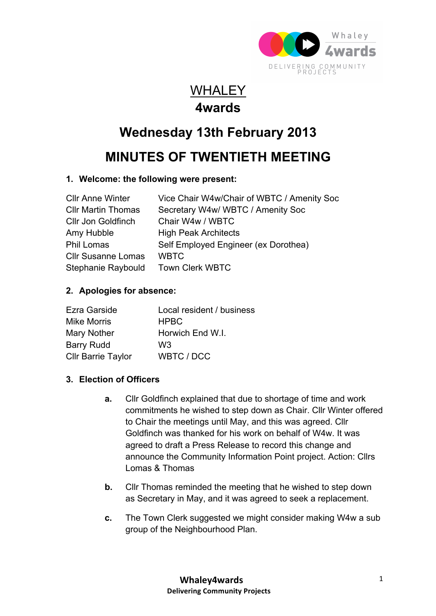

### **WHALEY 4wards**

# **Wednesday 13th February 2013**

## **MINUTES OF TWENTIETH MEETING**

#### **1. Welcome: the following were present:**

| <b>CIIr Anne Winter</b>   | Vice Chair W4w/Chair of WBTC / Amenity Soc |
|---------------------------|--------------------------------------------|
| <b>CIIr Martin Thomas</b> | Secretary W4w/WBTC / Amenity Soc           |
| Cllr Jon Goldfinch        | Chair W4w / WBTC                           |
| Amy Hubble                | <b>High Peak Architects</b>                |
| <b>Phil Lomas</b>         | Self Employed Engineer (ex Dorothea)       |
| <b>Cllr Susanne Lomas</b> | <b>WBTC</b>                                |
| Stephanie Raybould        | <b>Town Clerk WBTC</b>                     |

#### **2. Apologies for absence:**

| Ezra Garside              | Local resident / business |
|---------------------------|---------------------------|
| <b>Mike Morris</b>        | <b>HPBC</b>               |
| Mary Nother               | Horwich End W.I.          |
| <b>Barry Rudd</b>         | W3                        |
| <b>Cllr Barrie Taylor</b> | WBTC / DCC                |

#### **3. Election of Officers**

- **a.** Cllr Goldfinch explained that due to shortage of time and work commitments he wished to step down as Chair. Cllr Winter offered to Chair the meetings until May, and this was agreed. Cllr Goldfinch was thanked for his work on behalf of W4w. It was agreed to draft a Press Release to record this change and announce the Community Information Point project. Action: Cllrs Lomas & Thomas
- **b.** Cllr Thomas reminded the meeting that he wished to step down as Secretary in May, and it was agreed to seek a replacement.
- **c.** The Town Clerk suggested we might consider making W4w a sub group of the Neighbourhood Plan.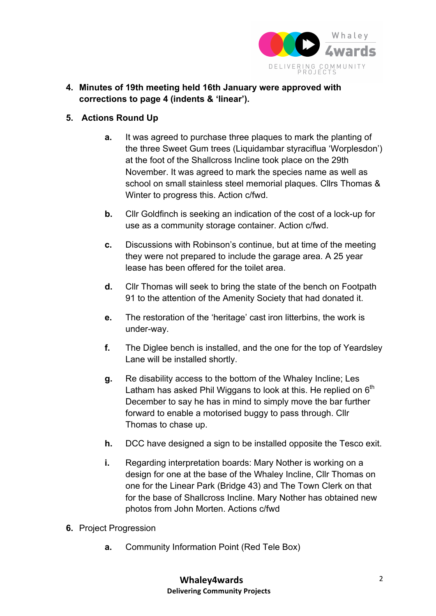

**4. Minutes of 19th meeting held 16th January were approved with corrections to page 4 (indents & 'linear').**

#### **5. Actions Round Up**

- **a.** It was agreed to purchase three plaques to mark the planting of the three Sweet Gum trees (Liquidambar styraciflua 'Worplesdon') at the foot of the Shallcross Incline took place on the 29th November. It was agreed to mark the species name as well as school on small stainless steel memorial plaques. Cllrs Thomas & Winter to progress this. Action c/fwd.
- **b.** Cllr Goldfinch is seeking an indication of the cost of a lock-up for use as a community storage container. Action c/fwd.
- **c.** Discussions with Robinson's continue, but at time of the meeting they were not prepared to include the garage area. A 25 year lease has been offered for the toilet area.
- **d.** Cllr Thomas will seek to bring the state of the bench on Footpath 91 to the attention of the Amenity Society that had donated it.
- **e.** The restoration of the 'heritage' cast iron litterbins, the work is under-way.
- **f.** The Diglee bench is installed, and the one for the top of Yeardsley Lane will be installed shortly.
- **g.** Re disability access to the bottom of the Whaley Incline; Les Latham has asked Phil Wiggans to look at this. He replied on  $6<sup>th</sup>$ December to say he has in mind to simply move the bar further forward to enable a motorised buggy to pass through. Cllr Thomas to chase up.
- **h.** DCC have designed a sign to be installed opposite the Tesco exit.
- **i.** Regarding interpretation boards: Mary Nother is working on a design for one at the base of the Whaley Incline, Cllr Thomas on one for the Linear Park (Bridge 43) and The Town Clerk on that for the base of Shallcross Incline. Mary Nother has obtained new photos from John Morten. Actions c/fwd
- **6.** Project Progression
	- **a.** Community Information Point (Red Tele Box)